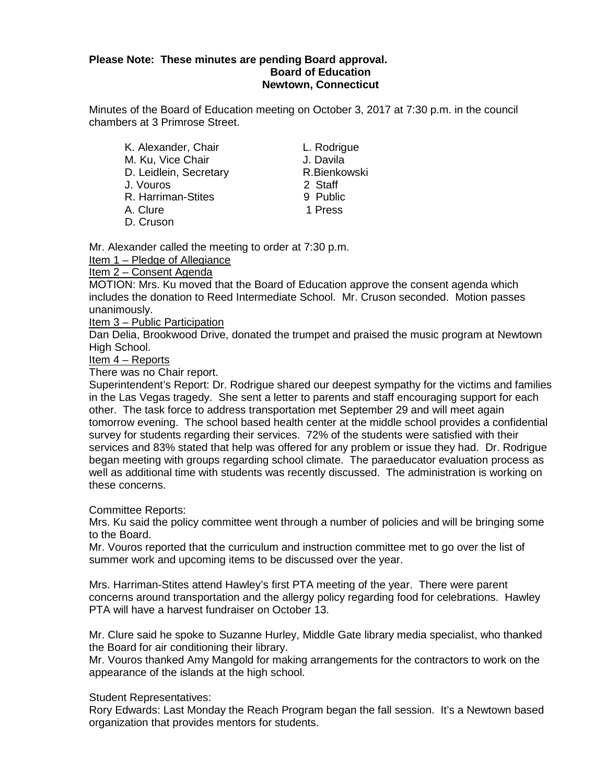### **Please Note: These minutes are pending Board approval. Board of Education Newtown, Connecticut**

Minutes of the Board of Education meeting on October 3, 2017 at 7:30 p.m. in the council chambers at 3 Primrose Street.

- K. Alexander, Chair **L. Rodrigue**<br>
M. Ku. Vice Chair **L. Davila** M. Ku, Vice Chair J. Davila<br>D. Leidlein, Secretary R. Bienkowski D. Leidlein, Secretary **R.Bienkowskiller** R.Bienkowskiller<br>J. Vouros J. Vouros R. Harriman-Stites 9 Public A. Clure 1 Press D. Cruson
	-

Mr. Alexander called the meeting to order at 7:30 p.m.

Item 1 – Pledge of Allegiance

# Item 2 – Consent Agenda

MOTION: Mrs. Ku moved that the Board of Education approve the consent agenda which includes the donation to Reed Intermediate School. Mr. Cruson seconded. Motion passes unanimously.

Item 3 – Public Participation

Dan Delia, Brookwood Drive, donated the trumpet and praised the music program at Newtown High School.

Item 4 – Reports

There was no Chair report.

Superintendent's Report: Dr. Rodrigue shared our deepest sympathy for the victims and families in the Las Vegas tragedy. She sent a letter to parents and staff encouraging support for each other. The task force to address transportation met September 29 and will meet again tomorrow evening. The school based health center at the middle school provides a confidential survey for students regarding their services. 72% of the students were satisfied with their services and 83% stated that help was offered for any problem or issue they had. Dr. Rodrigue began meeting with groups regarding school climate. The paraeducator evaluation process as well as additional time with students was recently discussed. The administration is working on these concerns.

Committee Reports:

Mrs. Ku said the policy committee went through a number of policies and will be bringing some to the Board.

Mr. Vouros reported that the curriculum and instruction committee met to go over the list of summer work and upcoming items to be discussed over the year.

Mrs. Harriman-Stites attend Hawley's first PTA meeting of the year. There were parent concerns around transportation and the allergy policy regarding food for celebrations. Hawley PTA will have a harvest fundraiser on October 13.

Mr. Clure said he spoke to Suzanne Hurley, Middle Gate library media specialist, who thanked the Board for air conditioning their library.

Mr. Vouros thanked Amy Mangold for making arrangements for the contractors to work on the appearance of the islands at the high school.

Student Representatives:

Rory Edwards: Last Monday the Reach Program began the fall session. It's a Newtown based organization that provides mentors for students.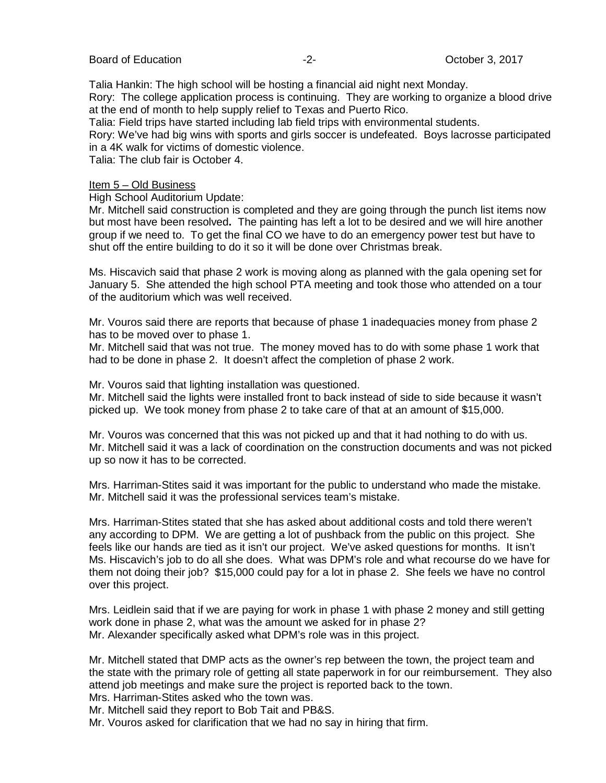Talia Hankin: The high school will be hosting a financial aid night next Monday. Rory: The college application process is continuing. They are working to organize a blood drive at the end of month to help supply relief to Texas and Puerto Rico.

Talia: Field trips have started including lab field trips with environmental students.

Rory: We've had big wins with sports and girls soccer is undefeated. Boys lacrosse participated in a 4K walk for victims of domestic violence.

Talia: The club fair is October 4.

### Item 5 – Old Business

High School Auditorium Update:

Mr. Mitchell said construction is completed and they are going through the punch list items now but most have been resolved**.** The painting has left a lot to be desired and we will hire another group if we need to. To get the final CO we have to do an emergency power test but have to shut off the entire building to do it so it will be done over Christmas break.

Ms. Hiscavich said that phase 2 work is moving along as planned with the gala opening set for January 5. She attended the high school PTA meeting and took those who attended on a tour of the auditorium which was well received.

Mr. Vouros said there are reports that because of phase 1 inadequacies money from phase 2 has to be moved over to phase 1.

Mr. Mitchell said that was not true. The money moved has to do with some phase 1 work that had to be done in phase 2. It doesn't affect the completion of phase 2 work.

Mr. Vouros said that lighting installation was questioned.

Mr. Mitchell said the lights were installed front to back instead of side to side because it wasn't picked up. We took money from phase 2 to take care of that at an amount of \$15,000.

Mr. Vouros was concerned that this was not picked up and that it had nothing to do with us. Mr. Mitchell said it was a lack of coordination on the construction documents and was not picked up so now it has to be corrected.

Mrs. Harriman-Stites said it was important for the public to understand who made the mistake. Mr. Mitchell said it was the professional services team's mistake.

Mrs. Harriman-Stites stated that she has asked about additional costs and told there weren't any according to DPM. We are getting a lot of pushback from the public on this project. She feels like our hands are tied as it isn't our project. We've asked questions for months. It isn't Ms. Hiscavich's job to do all she does. What was DPM's role and what recourse do we have for them not doing their job? \$15,000 could pay for a lot in phase 2. She feels we have no control over this project.

Mrs. Leidlein said that if we are paying for work in phase 1 with phase 2 money and still getting work done in phase 2, what was the amount we asked for in phase 2? Mr. Alexander specifically asked what DPM's role was in this project.

Mr. Mitchell stated that DMP acts as the owner's rep between the town, the project team and the state with the primary role of getting all state paperwork in for our reimbursement. They also attend job meetings and make sure the project is reported back to the town. Mrs. Harriman-Stites asked who the town was.

Mr. Mitchell said they report to Bob Tait and PB&S.

Mr. Vouros asked for clarification that we had no say in hiring that firm.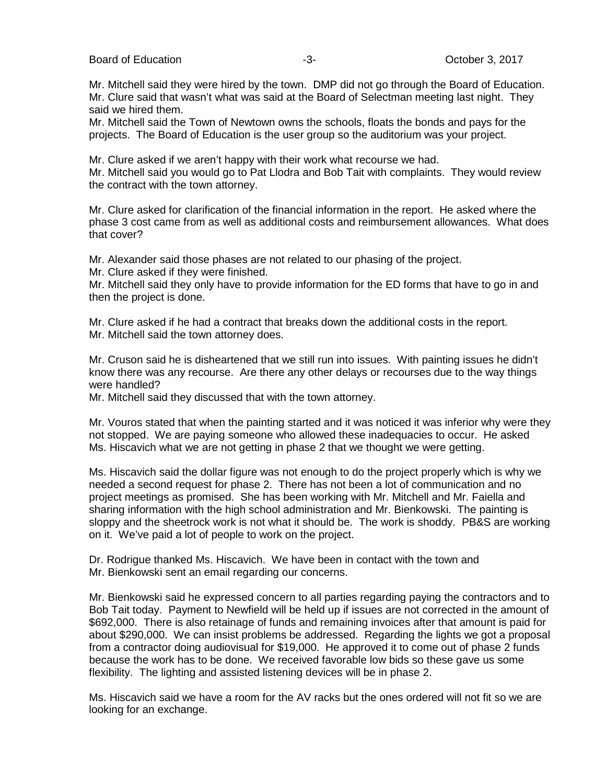Board of Education **-3-** Alternative Controllery of Corporation of Education and Table 3, 2017

Mr. Mitchell said they were hired by the town. DMP did not go through the Board of Education. Mr. Clure said that wasn't what was said at the Board of Selectman meeting last night. They said we hired them.

Mr. Mitchell said the Town of Newtown owns the schools, floats the bonds and pays for the projects. The Board of Education is the user group so the auditorium was your project.

Mr. Clure asked if we aren't happy with their work what recourse we had.

Mr. Mitchell said you would go to Pat Llodra and Bob Tait with complaints. They would review the contract with the town attorney.

Mr. Clure asked for clarification of the financial information in the report. He asked where the phase 3 cost came from as well as additional costs and reimbursement allowances. What does that cover?

Mr. Alexander said those phases are not related to our phasing of the project.

Mr. Clure asked if they were finished.

Mr. Mitchell said they only have to provide information for the ED forms that have to go in and then the project is done.

Mr. Clure asked if he had a contract that breaks down the additional costs in the report. Mr. Mitchell said the town attorney does.

Mr. Cruson said he is disheartened that we still run into issues. With painting issues he didn't know there was any recourse. Are there any other delays or recourses due to the way things were handled?

Mr. Mitchell said they discussed that with the town attorney.

Mr. Vouros stated that when the painting started and it was noticed it was inferior why were they not stopped. We are paying someone who allowed these inadequacies to occur. He asked Ms. Hiscavich what we are not getting in phase 2 that we thought we were getting.

Ms. Hiscavich said the dollar figure was not enough to do the project properly which is why we needed a second request for phase 2. There has not been a lot of communication and no project meetings as promised. She has been working with Mr. Mitchell and Mr. Faiella and sharing information with the high school administration and Mr. Bienkowski. The painting is sloppy and the sheetrock work is not what it should be. The work is shoddy. PB&S are working on it. We've paid a lot of people to work on the project.

Dr. Rodrigue thanked Ms. Hiscavich. We have been in contact with the town and Mr. Bienkowski sent an email regarding our concerns.

Mr. Bienkowski said he expressed concern to all parties regarding paying the contractors and to Bob Tait today. Payment to Newfield will be held up if issues are not corrected in the amount of \$692,000. There is also retainage of funds and remaining invoices after that amount is paid for about \$290,000. We can insist problems be addressed. Regarding the lights we got a proposal from a contractor doing audiovisual for \$19,000. He approved it to come out of phase 2 funds because the work has to be done. We received favorable low bids so these gave us some flexibility. The lighting and assisted listening devices will be in phase 2.

Ms. Hiscavich said we have a room for the AV racks but the ones ordered will not fit so we are looking for an exchange.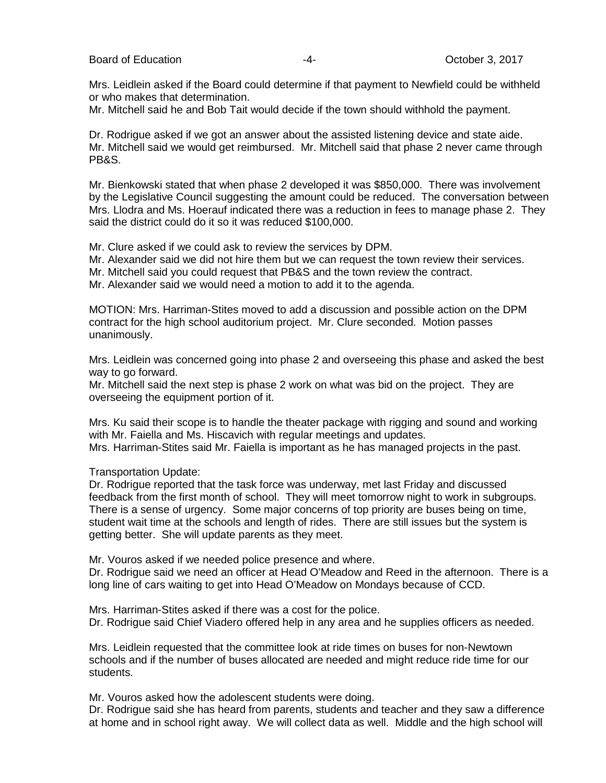Mrs. Leidlein asked if the Board could determine if that payment to Newfield could be withheld or who makes that determination.

Mr. Mitchell said he and Bob Tait would decide if the town should withhold the payment.

Dr. Rodrigue asked if we got an answer about the assisted listening device and state aide. Mr. Mitchell said we would get reimbursed. Mr. Mitchell said that phase 2 never came through PB&S.

Mr. Bienkowski stated that when phase 2 developed it was \$850,000. There was involvement by the Legislative Council suggesting the amount could be reduced. The conversation between Mrs. Llodra and Ms. Hoerauf indicated there was a reduction in fees to manage phase 2. They said the district could do it so it was reduced \$100,000.

Mr. Clure asked if we could ask to review the services by DPM.

Mr. Alexander said we did not hire them but we can request the town review their services.

Mr. Mitchell said you could request that PB&S and the town review the contract.

Mr. Alexander said we would need a motion to add it to the agenda.

MOTION: Mrs. Harriman-Stites moved to add a discussion and possible action on the DPM contract for the high school auditorium project. Mr. Clure seconded. Motion passes unanimously.

Mrs. Leidlein was concerned going into phase 2 and overseeing this phase and asked the best way to go forward.

Mr. Mitchell said the next step is phase 2 work on what was bid on the project. They are overseeing the equipment portion of it.

Mrs. Ku said their scope is to handle the theater package with rigging and sound and working with Mr. Faiella and Ms. Hiscavich with regular meetings and updates. Mrs. Harriman-Stites said Mr. Faiella is important as he has managed projects in the past.

Transportation Update:

Dr. Rodrigue reported that the task force was underway, met last Friday and discussed feedback from the first month of school. They will meet tomorrow night to work in subgroups. There is a sense of urgency. Some major concerns of top priority are buses being on time, student wait time at the schools and length of rides. There are still issues but the system is getting better. She will update parents as they meet.

Mr. Vouros asked if we needed police presence and where.

Dr. Rodrigue said we need an officer at Head O'Meadow and Reed in the afternoon. There is a long line of cars waiting to get into Head O'Meadow on Mondays because of CCD.

Mrs. Harriman-Stites asked if there was a cost for the police. Dr. Rodrigue said Chief Viadero offered help in any area and he supplies officers as needed.

Mrs. Leidlein requested that the committee look at ride times on buses for non-Newtown schools and if the number of buses allocated are needed and might reduce ride time for our students.

Mr. Vouros asked how the adolescent students were doing.

Dr. Rodrigue said she has heard from parents, students and teacher and they saw a difference at home and in school right away. We will collect data as well. Middle and the high school will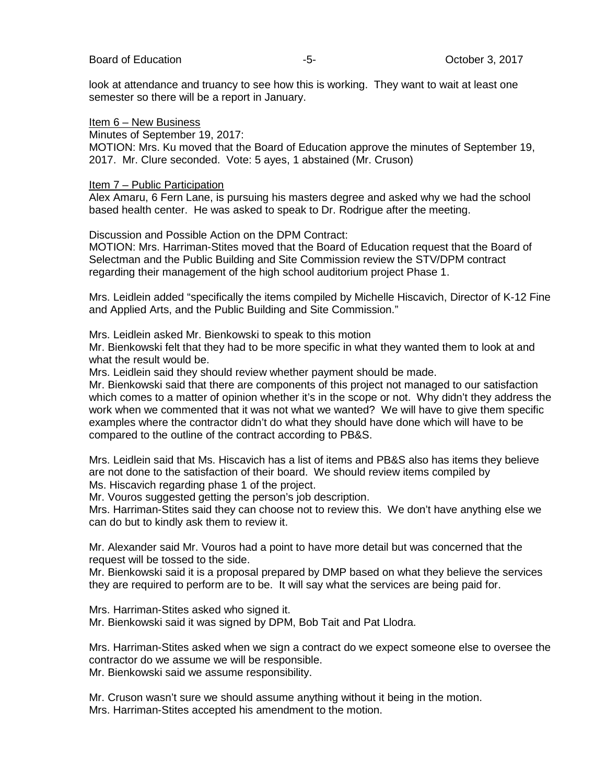look at attendance and truancy to see how this is working. They want to wait at least one semester so there will be a report in January.

### Item 6 – New Business

Minutes of September 19, 2017:

MOTION: Mrs. Ku moved that the Board of Education approve the minutes of September 19, 2017. Mr. Clure seconded. Vote: 5 ayes, 1 abstained (Mr. Cruson)

### Item 7 – Public Participation

Alex Amaru, 6 Fern Lane, is pursuing his masters degree and asked why we had the school based health center. He was asked to speak to Dr. Rodrigue after the meeting.

Discussion and Possible Action on the DPM Contract:

MOTION: Mrs. Harriman-Stites moved that the Board of Education request that the Board of Selectman and the Public Building and Site Commission review the STV/DPM contract regarding their management of the high school auditorium project Phase 1.

Mrs. Leidlein added "specifically the items compiled by Michelle Hiscavich, Director of K-12 Fine and Applied Arts, and the Public Building and Site Commission."

Mrs. Leidlein asked Mr. Bienkowski to speak to this motion

Mr. Bienkowski felt that they had to be more specific in what they wanted them to look at and what the result would be.

Mrs. Leidlein said they should review whether payment should be made.

Mr. Bienkowski said that there are components of this project not managed to our satisfaction which comes to a matter of opinion whether it's in the scope or not. Why didn't they address the work when we commented that it was not what we wanted? We will have to give them specific examples where the contractor didn't do what they should have done which will have to be compared to the outline of the contract according to PB&S.

Mrs. Leidlein said that Ms. Hiscavich has a list of items and PB&S also has items they believe are not done to the satisfaction of their board. We should review items compiled by Ms. Hiscavich regarding phase 1 of the project.

Mr. Vouros suggested getting the person's job description.

Mrs. Harriman-Stites said they can choose not to review this. We don't have anything else we can do but to kindly ask them to review it.

Mr. Alexander said Mr. Vouros had a point to have more detail but was concerned that the request will be tossed to the side.

Mr. Bienkowski said it is a proposal prepared by DMP based on what they believe the services they are required to perform are to be. It will say what the services are being paid for.

Mrs. Harriman-Stites asked who signed it. Mr. Bienkowski said it was signed by DPM, Bob Tait and Pat Llodra.

Mrs. Harriman-Stites asked when we sign a contract do we expect someone else to oversee the contractor do we assume we will be responsible.

Mr. Bienkowski said we assume responsibility.

Mr. Cruson wasn't sure we should assume anything without it being in the motion. Mrs. Harriman-Stites accepted his amendment to the motion.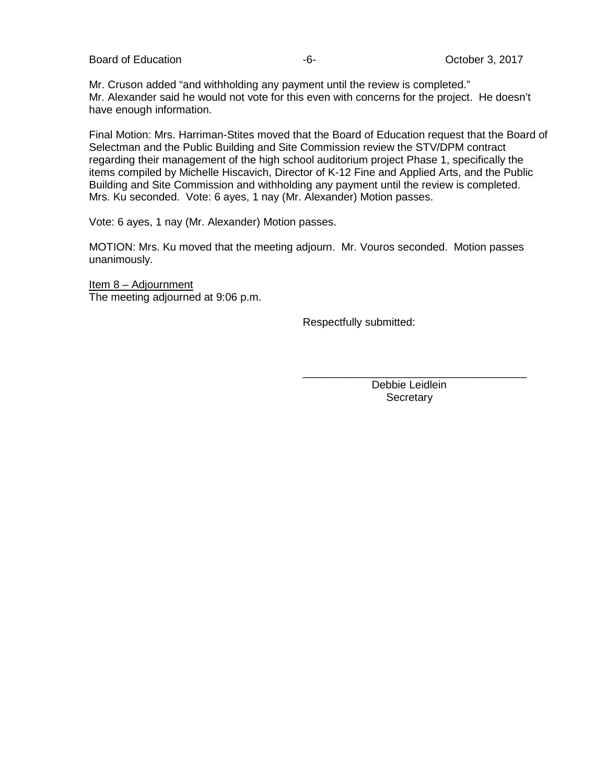Board of Education  $-6 -6-$  October 3, 2017

Mr. Cruson added "and withholding any payment until the review is completed." Mr. Alexander said he would not vote for this even with concerns for the project. He doesn't have enough information.

Final Motion: Mrs. Harriman-Stites moved that the Board of Education request that the Board of Selectman and the Public Building and Site Commission review the STV/DPM contract regarding their management of the high school auditorium project Phase 1, specifically the items compiled by Michelle Hiscavich, Director of K-12 Fine and Applied Arts, and the Public Building and Site Commission and withholding any payment until the review is completed. Mrs. Ku seconded. Vote: 6 ayes, 1 nay (Mr. Alexander) Motion passes.

Vote: 6 ayes, 1 nay (Mr. Alexander) Motion passes.

MOTION: Mrs. Ku moved that the meeting adjourn. Mr. Vouros seconded. Motion passes unanimously.

Item 8 – Adjournment The meeting adjourned at 9:06 p.m.

Respectfully submitted:

\_\_\_\_\_\_\_\_\_\_\_\_\_\_\_\_\_\_\_\_\_\_\_\_\_\_\_\_\_\_\_\_\_\_\_\_\_ Debbie Leidlein **Secretary**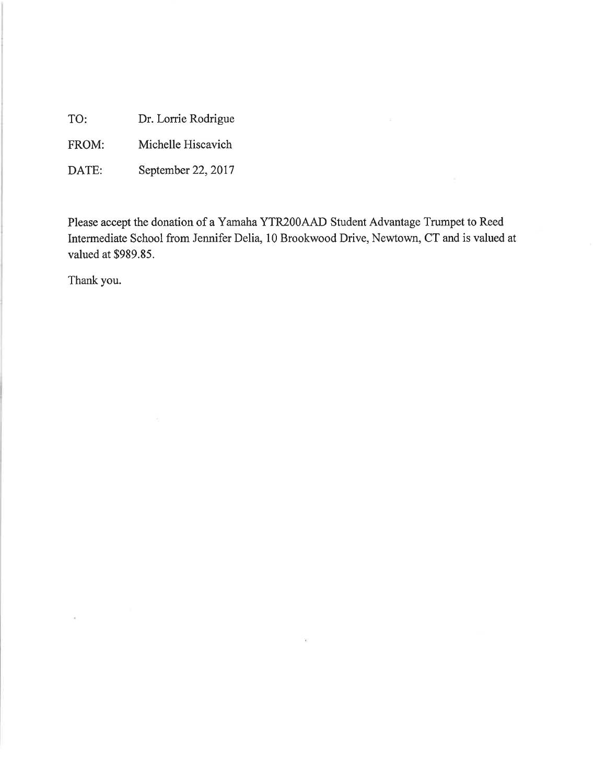TO: Dr. Lorrie Rodrigue

Michelle Hiscavich FROM:

September 22, 2017 DATE:

Please accept the donation of a Yamaha YTR200AAD Student Advantage Trumpet to Reed Intermediate School from Jennifer Delia, 10 Brookwood Drive, Newtown, CT and is valued at valued at \$989.85.

 $\overline{\mathcal{F}}$ 

Thank you.

 $\tilde{\mathcal{A}}$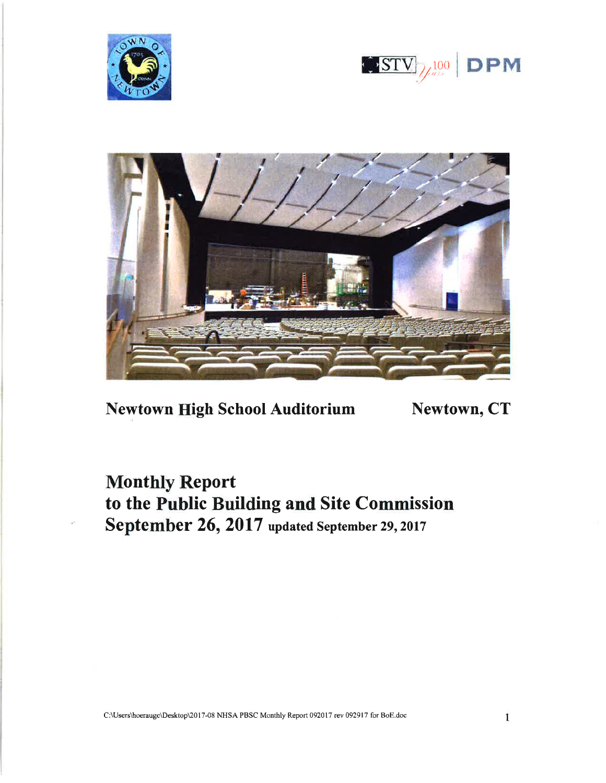





**Newtown High School Auditorium** 

Newtown, CT

**Monthly Report** to the Public Building and Site Commission September 26, 2017 updated September 29, 2017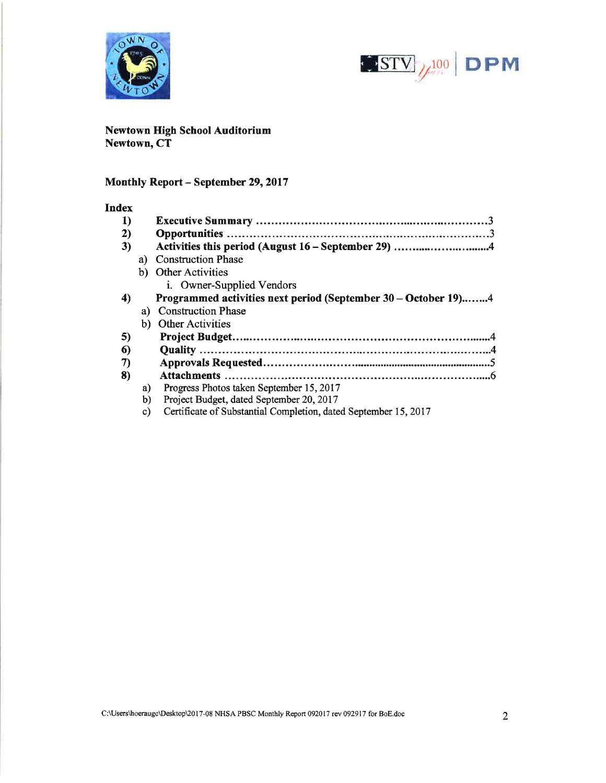



Newtown High School Auditorium Newtown, CT

# Monthly Report - September 29, 2017

### **Index**

|    | Activities this period (August 16 – September 29) 4             |
|----|-----------------------------------------------------------------|
| a) | <b>Construction Phase</b>                                       |
|    | b) Other Activities                                             |
|    | i. Owner-Supplied Vendors                                       |
|    | Programmed activities next period (September 30 – October 19)4  |
| a) | <b>Construction Phase</b>                                       |
| b) | <b>Other Activities</b>                                         |
|    |                                                                 |
|    |                                                                 |
|    |                                                                 |
|    |                                                                 |
| a) | Progress Photos taken September 15, 2017                        |
| b) | Project Budget, dated September 20, 2017                        |
| C) | Certificate of Substantial Completion, dated September 15, 2017 |
|    |                                                                 |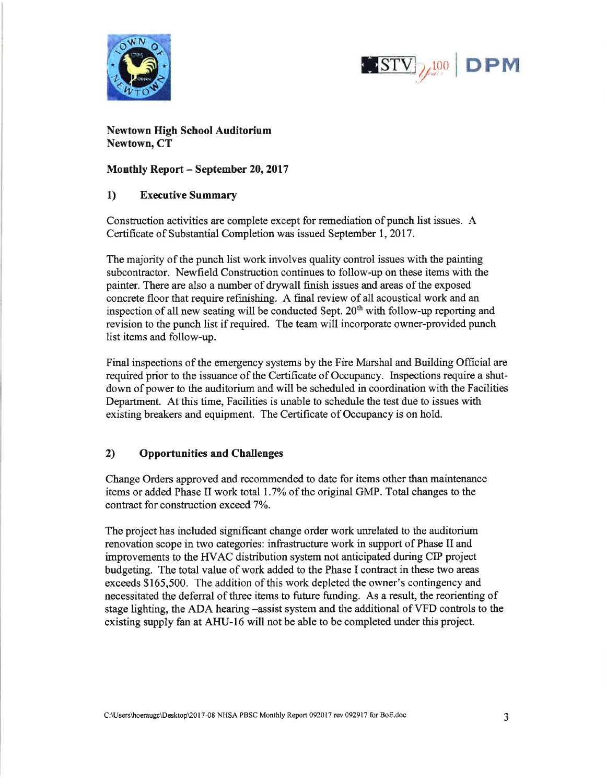



**Newtown High School Auditorium** Newtown, CT

**Monthly Report – September 20, 2017** 

#### $\bf{1}$ **Executive Summary**

Construction activities are complete except for remediation of punch list issues. A Certificate of Substantial Completion was issued September 1, 2017.

The majority of the punch list work involves quality control issues with the painting subcontractor. Newfield Construction continues to follow-up on these items with the painter. There are also a number of drywall finish issues and areas of the exposed concrete floor that require refinishing. A final review of all acoustical work and an inspection of all new seating will be conducted Sept. 20<sup>th</sup> with follow-up reporting and revision to the punch list if required. The team will incorporate owner-provided punch list items and follow-up.

Final inspections of the emergency systems by the Fire Marshal and Building Official are required prior to the issuance of the Certificate of Occupancy. Inspections require a shutdown of power to the auditorium and will be scheduled in coordination with the Facilities Department. At this time, Facilities is unable to schedule the test due to issues with existing breakers and equipment. The Certificate of Occupancy is on hold.

#### $2)$ **Opportunities and Challenges**

Change Orders approved and recommended to date for items other than maintenance items or added Phase II work total 1.7% of the original GMP. Total changes to the contract for construction exceed 7%.

The project has included significant change order work unrelated to the auditorium renovation scope in two categories: infrastructure work in support of Phase II and improvements to the HVAC distribution system not anticipated during CIP project budgeting. The total value of work added to the Phase I contract in these two areas exceeds \$165,500. The addition of this work depleted the owner's contingency and necessitated the deferral of three items to future funding. As a result, the reorienting of stage lighting, the ADA hearing -assist system and the additional of VFD controls to the existing supply fan at AHU-16 will not be able to be completed under this project.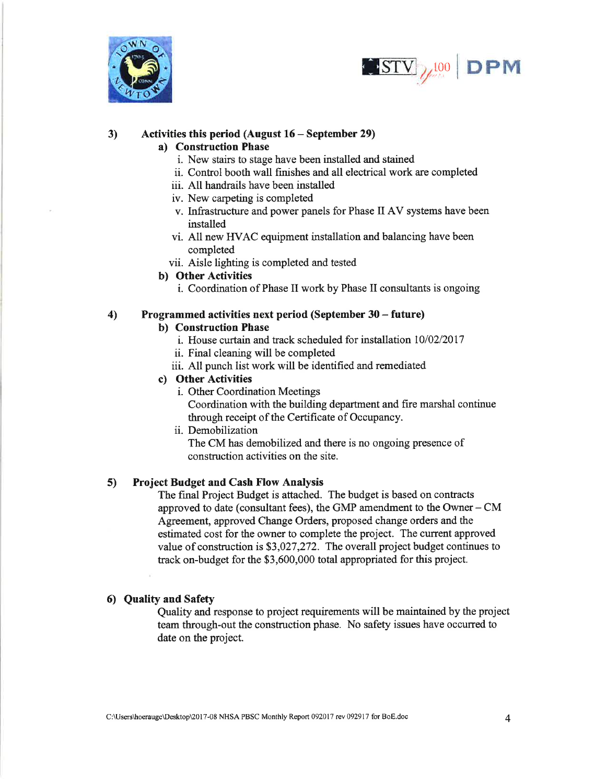



#### $3)$ Activities this period (August  $16$  – September 29)

# a) Construction Phase

- i. New stairs to stage have been installed and stained
- ii. Control booth wall finishes and all electrical work are completed
- iii. All handrails have been installed
- iv. New carpeting is completed
- v. Infrastructure and power panels for Phase II AV systems have been installed
- vi. All new HVAC equipment installation and balancing have been completed
- vii. Aisle lighting is completed and tested

# b) Other Activities

i. Coordination of Phase II work by Phase II consultants is ongoing

#### $4)$ Programmed activities next period (September 30 – future)

# b) Construction Phase

- i. House curtain and track scheduled for installation 10/02/2017
- ii. Final cleaning will be completed
- iii. All punch list work will be identified and remediated

# c) Other Activities

i. Other Coordination Meetings

Coordination with the building department and fire marshal continue through receipt of the Certificate of Occupancy.

ii. Demobilization

The CM has demobilized and there is no ongoing presence of construction activities on the site.

#### **Project Budget and Cash Flow Analysis** 5)

The final Project Budget is attached. The budget is based on contracts approved to date (consultant fees), the GMP amendment to the Owner  $-$  CM Agreement, approved Change Orders, proposed change orders and the estimated cost for the owner to complete the project. The current approved value of construction is \$3,027,272. The overall project budget continues to track on-budget for the \$3,600,000 total appropriated for this project.

# 6) Quality and Safety

Quality and response to project requirements will be maintained by the project team through-out the construction phase. No safety issues have occurred to date on the project.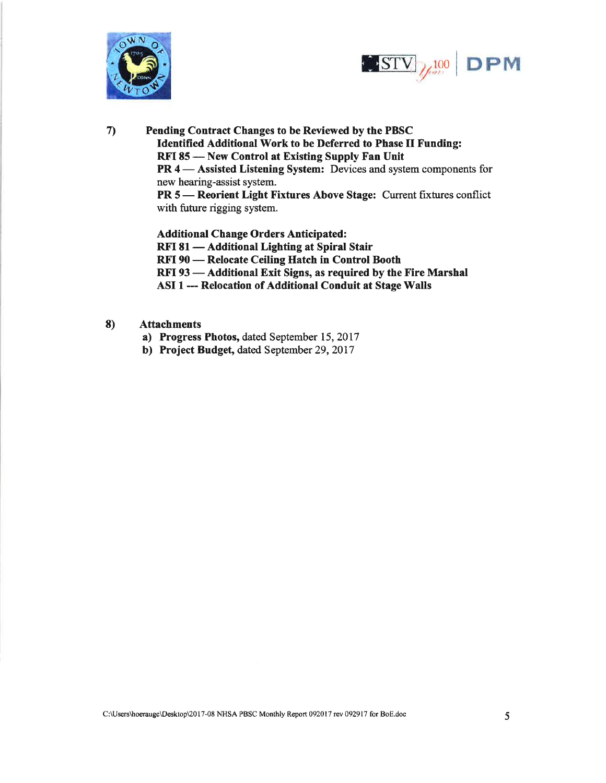



 $\mathcal{L}$ Pending Contract Changes to be Reviewed by the PBSC **Identified Additional Work to be Deferred to Phase II Funding:** RFI 85 - New Control at Existing Supply Fan Unit PR 4 — Assisted Listening System: Devices and system components for new hearing-assist system. PR 5 - Reorient Light Fixtures Above Stage: Current fixtures conflict with future rigging system.

> **Additional Change Orders Anticipated:** RFI 81 — Additional Lighting at Spiral Stair RFI 90 - Relocate Ceiling Hatch in Control Booth RFI 93 - Additional Exit Signs, as required by the Fire Marshal ASI 1 --- Relocation of Additional Conduit at Stage Walls

#### 8) **Attachments**

- a) Progress Photos, dated September 15, 2017
- b) Project Budget, dated September 29, 2017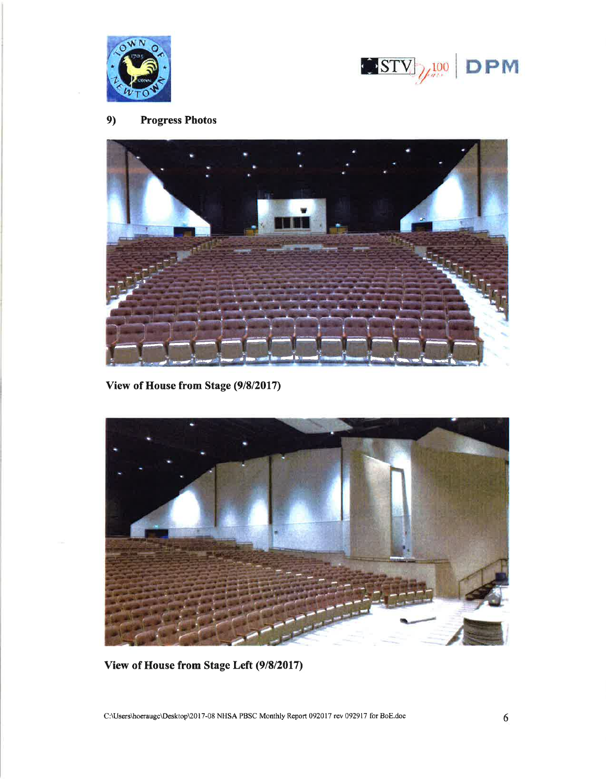



#### $9)$ **Progress Photos**



View of House from Stage (9/8/2017)



View of House from Stage Left (9/8/2017)

C:\Users\hoeraugc\Desktop\2017-08 NHSA PBSC Monthly Report 092017 rev 092917 for BoE.doc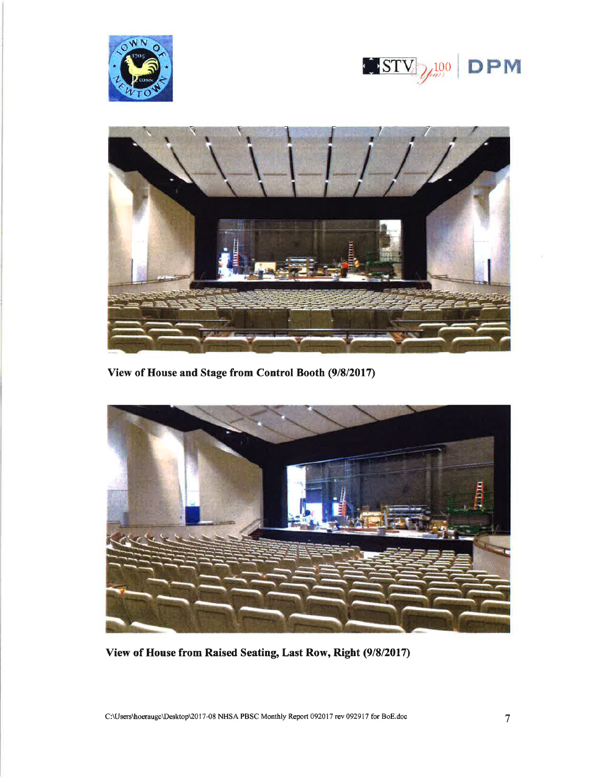





View of House and Stage from Control Booth (9/8/2017)



View of House from Raised Seating, Last Row, Right (9/8/2017)

C:\Users\hoeraugc\Desktop\2017-08 NHSA PBSC Monthly Report 092017 rev 092917 for BoE.doc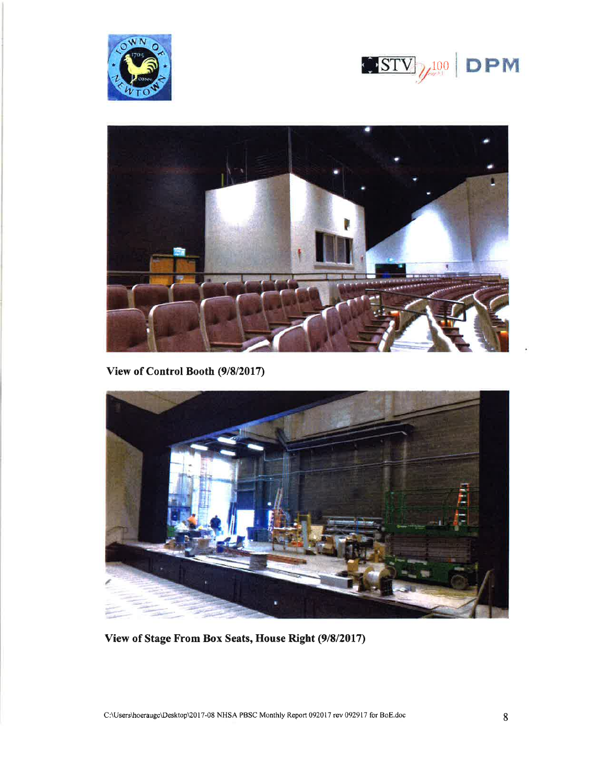





View of Control Booth (9/8/2017)



View of Stage From Box Seats, House Right (9/8/2017)

C:\Users\hoeraugc\Desktop\2017-08 NHSA PBSC Monthly Report 092017 rev 092917 for BoE.doc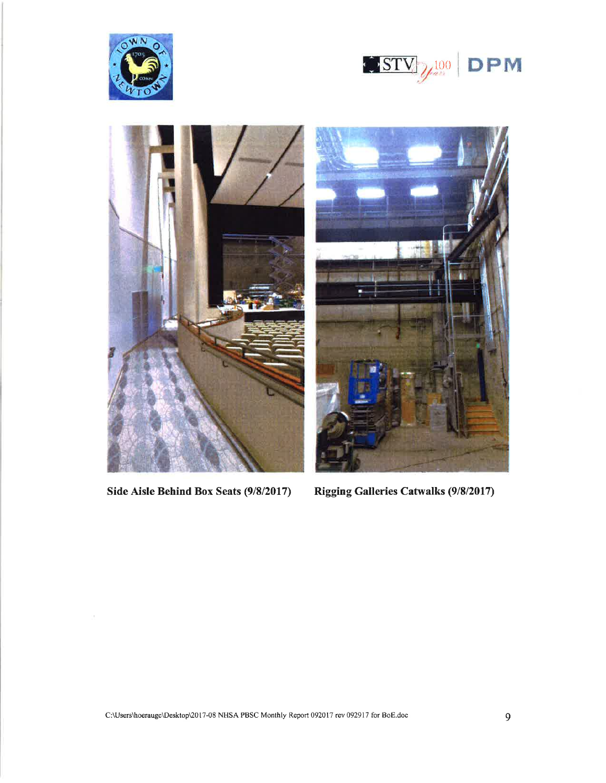





Side Aisle Behind Box Seats (9/8/2017)



Rigging Galleries Catwalks (9/8/2017)